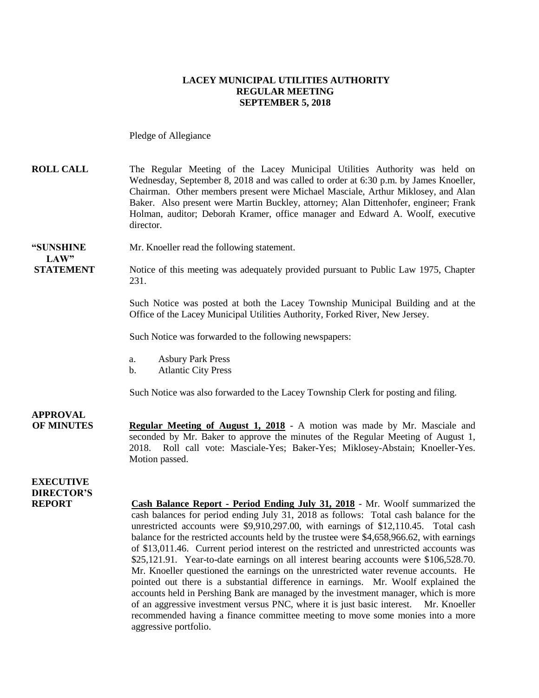#### **LACEY MUNICIPAL UTILITIES AUTHORITY REGULAR MEETING SEPTEMBER 5, 2018**

Pledge of Allegiance

**ROLL CALL** The Regular Meeting of the Lacey Municipal Utilities Authority was held on Wednesday, September 8, 2018 and was called to order at 6:30 p.m. by James Knoeller, Chairman. Other members present were Michael Masciale, Arthur Miklosey, and Alan Baker. Also present were Martin Buckley, attorney; Alan Dittenhofer, engineer; Frank Holman, auditor; Deborah Kramer, office manager and Edward A. Woolf, executive director.

#### **"SUNSHINE** Mr. Knoeller read the following statement. **LAW"**

**STATEMENT** Notice of this meeting was adequately provided pursuant to Public Law 1975, Chapter 231.

> Such Notice was posted at both the Lacey Township Municipal Building and at the Office of the Lacey Municipal Utilities Authority, Forked River, New Jersey.

Such Notice was forwarded to the following newspapers:

- a. Asbury Park Press
- b. Atlantic City Press

Such Notice was also forwarded to the Lacey Township Clerk for posting and filing.

**APPROVAL**

**OF MINUTES Regular Meeting of August 1, 2018** - A motion was made by Mr. Masciale and seconded by Mr. Baker to approve the minutes of the Regular Meeting of August 1, 2018. Roll call vote: Masciale-Yes; Baker-Yes; Miklosey-Abstain; Knoeller-Yes. Motion passed.

### **EXECUTIVE DIRECTOR'S**

**REPORT Cash Balance Report - Period Ending July 31, 2018** - Mr. Woolf summarized the cash balances for period ending July 31, 2018 as follows: Total cash balance for the unrestricted accounts were \$9,910,297.00, with earnings of \$12,110.45. Total cash balance for the restricted accounts held by the trustee were \$4,658,966.62, with earnings of \$13,011.46. Current period interest on the restricted and unrestricted accounts was \$25,121.91. Year-to-date earnings on all interest bearing accounts were \$106,528.70. Mr. Knoeller questioned the earnings on the unrestricted water revenue accounts. He pointed out there is a substantial difference in earnings. Mr. Woolf explained the accounts held in Pershing Bank are managed by the investment manager, which is more of an aggressive investment versus PNC, where it is just basic interest. Mr. Knoeller recommended having a finance committee meeting to move some monies into a more aggressive portfolio.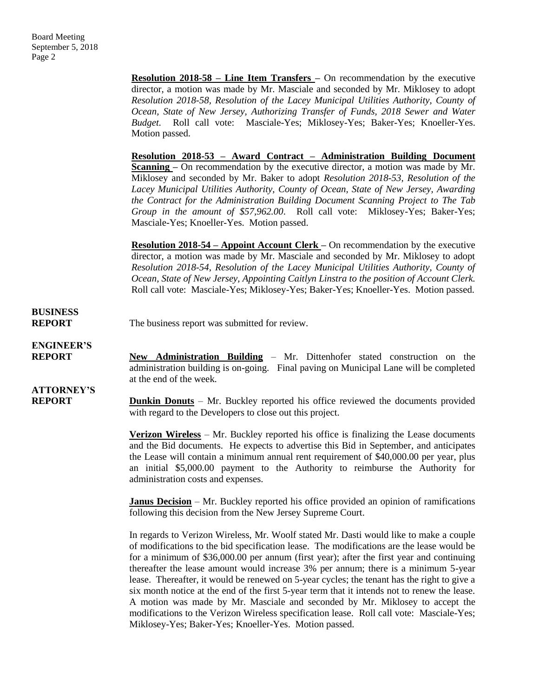**Resolution 2018-58 – Line Item Transfers –** On recommendation by the executive director, a motion was made by Mr. Masciale and seconded by Mr. Miklosey to adopt *Resolution 2018-58, Resolution of the Lacey Municipal Utilities Authority, County of Ocean, State of New Jersey, Authorizing Transfer of Funds, 2018 Sewer and Water Budget.* Roll call vote: Masciale-Yes; Miklosey-Yes; Baker-Yes; Knoeller-Yes. Motion passed.

**Resolution 2018-53 – Award Contract – Administration Building Document Scanning –** On recommendation by the executive director, a motion was made by Mr. Miklosey and seconded by Mr. Baker to adopt *Resolution 2018-53, Resolution of the Lacey Municipal Utilities Authority, County of Ocean, State of New Jersey, Awarding the Contract for the Administration Building Document Scanning Project to The Tab Group in the amount of \$57,962.00*. Roll call vote: Miklosey-Yes; Baker-Yes; Masciale-Yes; Knoeller-Yes. Motion passed.

**Resolution 2018-54 – Appoint Account Clerk –** On recommendation by the executive director, a motion was made by Mr. Masciale and seconded by Mr. Miklosey to adopt *Resolution 2018-54, Resolution of the Lacey Municipal Utilities Authority, County of Ocean, State of New Jersey, Appointing Caitlyn Linstra to the position of Account Clerk.*  Roll call vote: Masciale-Yes; Miklosey-Yes; Baker-Yes; Knoeller-Yes. Motion passed.

### **BUSINESS**

**REPORT** The business report was submitted for review.

**ENGINEER'S**

**REPORT New Administration Building** – Mr. Dittenhofer stated construction on the administration building is on-going. Final paving on Municipal Lane will be completed at the end of the week.

# **ATTORNEY'S**

**REPORT Dunkin Donuts** – Mr. Buckley reported his office reviewed the documents provided with regard to the Developers to close out this project.

> **Verizon Wireless** – Mr. Buckley reported his office is finalizing the Lease documents and the Bid documents. He expects to advertise this Bid in September, and anticipates the Lease will contain a minimum annual rent requirement of \$40,000.00 per year, plus an initial \$5,000.00 payment to the Authority to reimburse the Authority for administration costs and expenses.

> **Janus Decision** – Mr. Buckley reported his office provided an opinion of ramifications following this decision from the New Jersey Supreme Court.

> In regards to Verizon Wireless, Mr. Woolf stated Mr. Dasti would like to make a couple of modifications to the bid specification lease. The modifications are the lease would be for a minimum of \$36,000.00 per annum (first year); after the first year and continuing thereafter the lease amount would increase 3% per annum; there is a minimum 5-year lease. Thereafter, it would be renewed on 5-year cycles; the tenant has the right to give a six month notice at the end of the first 5-year term that it intends not to renew the lease. A motion was made by Mr. Masciale and seconded by Mr. Miklosey to accept the modifications to the Verizon Wireless specification lease. Roll call vote: Masciale-Yes; Miklosey-Yes; Baker-Yes; Knoeller-Yes. Motion passed.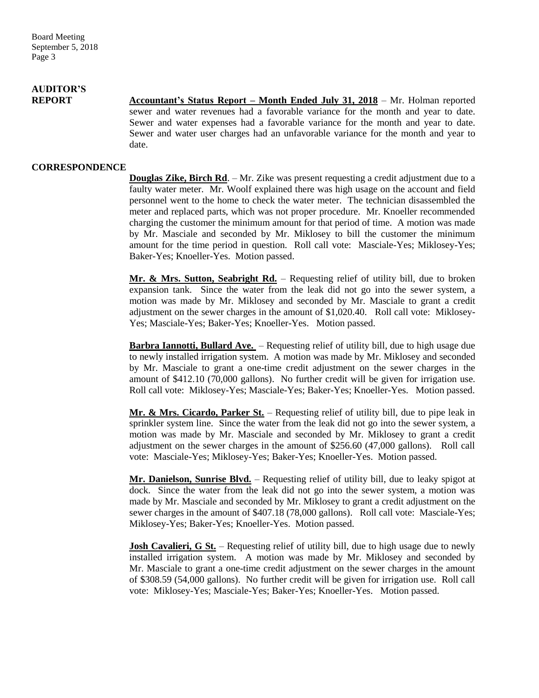## **AUDITOR'S**

**REPORT Accountant's Status Report – Month Ended July 31, 2018** – Mr. Holman reported sewer and water revenues had a favorable variance for the month and year to date. Sewer and water expenses had a favorable variance for the month and year to date. Sewer and water user charges had an unfavorable variance for the month and year to date.

#### **CORRESPONDENCE**

**Douglas Zike, Birch Rd.** – Mr. Zike was present requesting a credit adjustment due to a faulty water meter. Mr. Woolf explained there was high usage on the account and field personnel went to the home to check the water meter. The technician disassembled the meter and replaced parts, which was not proper procedure. Mr. Knoeller recommended charging the customer the minimum amount for that period of time. A motion was made by Mr. Masciale and seconded by Mr. Miklosey to bill the customer the minimum amount for the time period in question. Roll call vote: Masciale-Yes; Miklosey-Yes; Baker-Yes; Knoeller-Yes. Motion passed.

**Mr. & Mrs. Sutton, Seabright Rd.** – Requesting relief of utility bill, due to broken expansion tank. Since the water from the leak did not go into the sewer system, a motion was made by Mr. Miklosey and seconded by Mr. Masciale to grant a credit adjustment on the sewer charges in the amount of \$1,020.40. Roll call vote: Miklosey-Yes; Masciale-Yes; Baker-Yes; Knoeller-Yes. Motion passed.

**Barbra Iannotti, Bullard Ave.** – Requesting relief of utility bill, due to high usage due to newly installed irrigation system. A motion was made by Mr. Miklosey and seconded by Mr. Masciale to grant a one-time credit adjustment on the sewer charges in the amount of \$412.10 (70,000 gallons). No further credit will be given for irrigation use. Roll call vote: Miklosey-Yes; Masciale-Yes; Baker-Yes; Knoeller-Yes. Motion passed.

**Mr. & Mrs. Cicardo, Parker St.** – Requesting relief of utility bill, due to pipe leak in sprinkler system line. Since the water from the leak did not go into the sewer system, a motion was made by Mr. Masciale and seconded by Mr. Miklosey to grant a credit adjustment on the sewer charges in the amount of \$256.60 (47,000 gallons). Roll call vote: Masciale-Yes; Miklosey-Yes; Baker-Yes; Knoeller-Yes. Motion passed.

**Mr. Danielson, Sunrise Blvd.** – Requesting relief of utility bill, due to leaky spigot at dock. Since the water from the leak did not go into the sewer system, a motion was made by Mr. Masciale and seconded by Mr. Miklosey to grant a credit adjustment on the sewer charges in the amount of \$407.18 (78,000 gallons). Roll call vote: Masciale-Yes; Miklosey-Yes; Baker-Yes; Knoeller-Yes. Motion passed.

**Josh Cavalieri, G St.** – Requesting relief of utility bill, due to high usage due to newly installed irrigation system. A motion was made by Mr. Miklosey and seconded by Mr. Masciale to grant a one-time credit adjustment on the sewer charges in the amount of \$308.59 (54,000 gallons). No further credit will be given for irrigation use. Roll call vote: Miklosey-Yes; Masciale-Yes; Baker-Yes; Knoeller-Yes. Motion passed.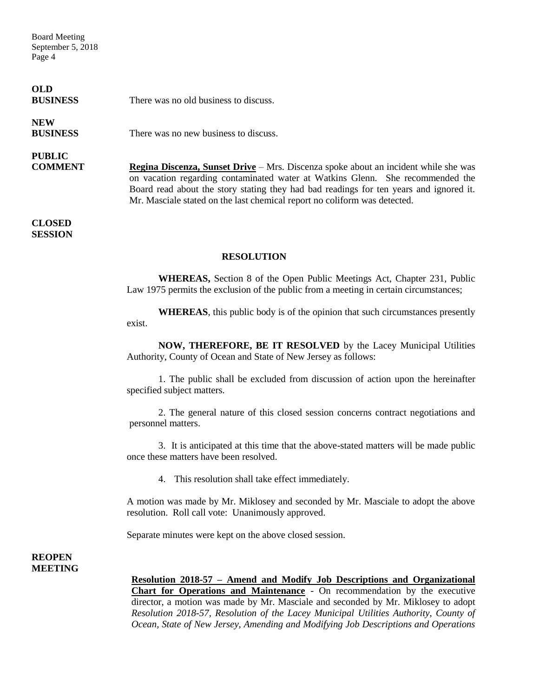Board Meeting September 5, 2018 Page 4

**OLD**

**BUSINESS** There was no old business to discuss.

# **NEW**

**BUSINESS** There was no new business to discuss.

# **PUBLIC**

**COMMENT Regina Discenza, Sunset Drive** – Mrs. Discenza spoke about an incident while she was on vacation regarding contaminated water at Watkins Glenn. She recommended the Board read about the story stating they had bad readings for ten years and ignored it. Mr. Masciale stated on the last chemical report no coliform was detected.

**CLOSED SESSION**

#### **RESOLUTION**

**WHEREAS,** Section 8 of the Open Public Meetings Act, Chapter 231, Public Law 1975 permits the exclusion of the public from a meeting in certain circumstances;

**WHEREAS**, this public body is of the opinion that such circumstances presently exist.

**NOW, THEREFORE, BE IT RESOLVED** by the Lacey Municipal Utilities Authority, County of Ocean and State of New Jersey as follows:

1. The public shall be excluded from discussion of action upon the hereinafter specified subject matters.

2. The general nature of this closed session concerns contract negotiations and personnel matters.

3. It is anticipated at this time that the above-stated matters will be made public once these matters have been resolved.

4. This resolution shall take effect immediately.

A motion was made by Mr. Miklosey and seconded by Mr. Masciale to adopt the above resolution. Roll call vote: Unanimously approved.

Separate minutes were kept on the above closed session.

#### **REOPEN MEETING**

**Resolution 2018-57 – Amend and Modify Job Descriptions and Organizational Chart for Operations and Maintenance** - On recommendation by the executive director, a motion was made by Mr. Masciale and seconded by Mr. Miklosey to adopt *Resolution 2018-57, Resolution of the Lacey Municipal Utilities Authority, County of Ocean, State of New Jersey, Amending and Modifying Job Descriptions and Operations*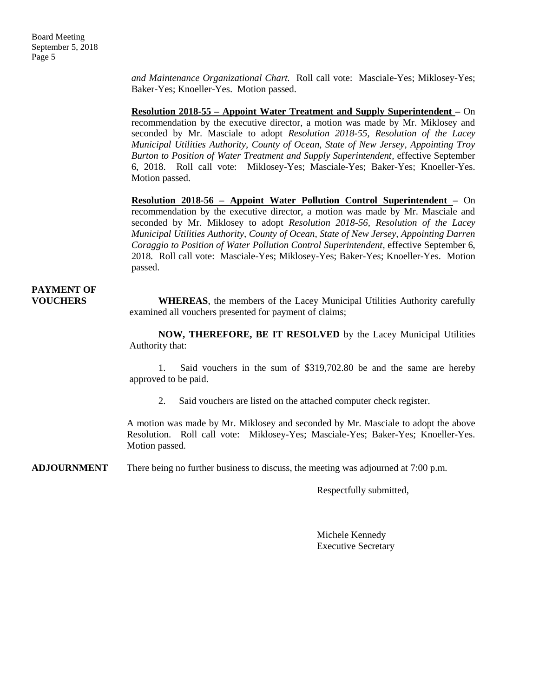*and Maintenance Organizational Chart.* Roll call vote: Masciale-Yes; Miklosey-Yes; Baker-Yes; Knoeller-Yes. Motion passed.

**Resolution 2018-55 – Appoint Water Treatment and Supply Superintendent –** On recommendation by the executive director, a motion was made by Mr. Miklosey and seconded by Mr. Masciale to adopt *Resolution 2018-55, Resolution of the Lacey Municipal Utilities Authority, County of Ocean, State of New Jersey, Appointing Troy Burton to Position of Water Treatment and Supply Superintendent,* effective September 6, 2018. Roll call vote: Miklosey-Yes; Masciale-Yes; Baker-Yes; Knoeller-Yes. Motion passed.

**Resolution 2018-56 – Appoint Water Pollution Control Superintendent –** On recommendation by the executive director, a motion was made by Mr. Masciale and seconded by Mr. Miklosey to adopt *Resolution 2018-56, Resolution of the Lacey Municipal Utilities Authority, County of Ocean, State of New Jersey, Appointing Darren Coraggio to Position of Water Pollution Control Superintendent,* effective September 6, 2018*.* Roll call vote: Masciale-Yes; Miklosey-Yes; Baker-Yes; Knoeller-Yes. Motion passed.

### **PAYMENT OF**

**VOUCHERS WHEREAS**, the members of the Lacey Municipal Utilities Authority carefully examined all vouchers presented for payment of claims;

> **NOW, THEREFORE, BE IT RESOLVED** by the Lacey Municipal Utilities Authority that:

> 1. Said vouchers in the sum of \$319,702.80 be and the same are hereby approved to be paid.

2. Said vouchers are listed on the attached computer check register.

A motion was made by Mr. Miklosey and seconded by Mr. Masciale to adopt the above Resolution. Roll call vote: Miklosey-Yes; Masciale-Yes; Baker-Yes; Knoeller-Yes. Motion passed.

**ADJOURNMENT** There being no further business to discuss, the meeting was adjourned at 7:00 p.m.

Respectfully submitted,

Michele Kennedy Executive Secretary